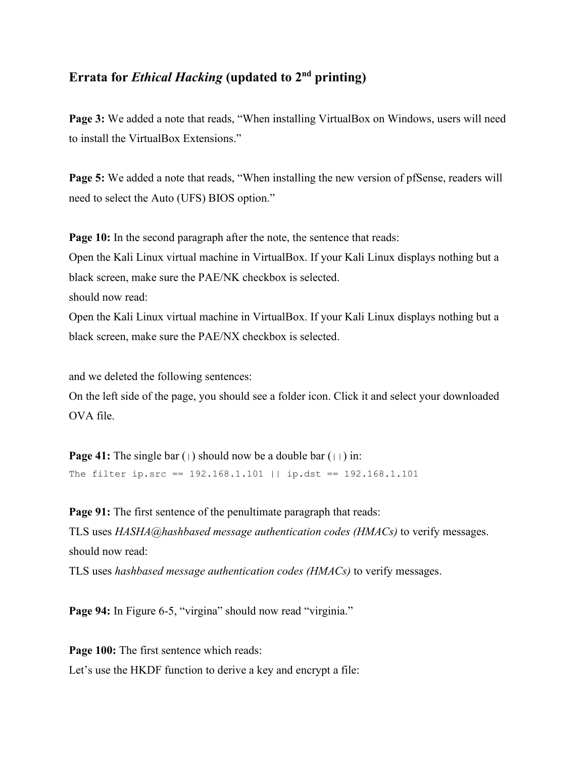## **Errata for** *Ethical Hacking* **(updated to 2nd printing)**

**Page 3:** We added a note that reads, "When installing VirtualBox on Windows, users will need to install the VirtualBox Extensions."

**Page 5:** We added a note that reads, "When installing the new version of pfSense, readers will need to select the Auto (UFS) BIOS option."

**Page 10:** In the second paragraph after the note, the sentence that reads:

Open the Kali Linux virtual machine in VirtualBox. If your Kali Linux displays nothing but a black screen, make sure the PAE/NK checkbox is selected.

should now read:

Open the Kali Linux virtual machine in VirtualBox. If your Kali Linux displays nothing but a black screen, make sure the PAE/NX checkbox is selected.

and we deleted the following sentences:

On the left side of the page, you should see a folder icon. Click it and select your downloaded OVA file.

**Page 41:** The single bar  $( )$  should now be a double bar  $( )$  in: The filter ip.src == 192.168.1.101 || ip.dst == 192.168.1.101

**Page 91:** The first sentence of the penultimate paragraph that reads: TLS uses *HASHA@hashbased message authentication codes (HMACs)* to verify messages. should now read:

TLS uses *hashbased message authentication codes (HMACs)* to verify messages.

Page 94: In Figure 6-5, "virgina" should now read "virginia."

**Page 100:** The first sentence which reads: Let's use the HKDF function to derive a key and encrypt a file: